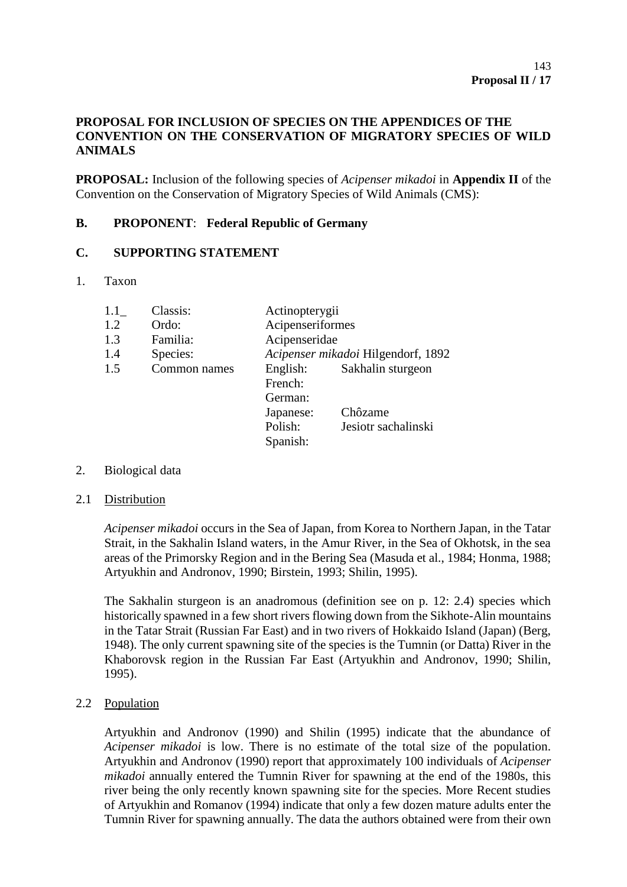# **PROPOSAL FOR INCLUSION OF SPECIES ON THE APPENDICES OF THE CONVENTION ON THE CONSERVATION OF MIGRATORY SPECIES OF WILD ANIMALS**

**PROPOSAL:** Inclusion of the following species of *Acipenser mikadoi* in **Appendix II** of the Convention on the Conservation of Migratory Species of Wild Animals (CMS):

# **B. PROPONENT**: **Federal Republic of Germany**

### **C. SUPPORTING STATEMENT**

1. Taxon

| 1.1 | Classis:     | Actinopterygii                     |                     |
|-----|--------------|------------------------------------|---------------------|
| 1.2 | Ordo:        | Acipenseriformes                   |                     |
| 1.3 | Familia:     | Acipenseridae                      |                     |
| 1.4 | Species:     | Acipenser mikadoi Hilgendorf, 1892 |                     |
| 1.5 | Common names | English:                           | Sakhalin sturgeon   |
|     |              | French:                            |                     |
|     |              | German:                            |                     |
|     |              | Japanese:                          | Chôzame             |
|     |              | Polish:                            | Jesiotr sachalinski |
|     |              | Spanish:                           |                     |

- 2. Biological data
- 2.1 Distribution

*Acipenser mikadoi* occurs in the Sea of Japan, from Korea to Northern Japan, in the Tatar Strait, in the Sakhalin Island waters, in the Amur River, in the Sea of Okhotsk, in the sea areas of the Primorsky Region and in the Bering Sea (Masuda et al., 1984; Honma, 1988; Artyukhin and Andronov, 1990; Birstein, 1993; Shilin, 1995).

The Sakhalin sturgeon is an anadromous (definition see on p. 12: 2.4) species which historically spawned in a few short rivers flowing down from the Sikhote-Alin mountains in the Tatar Strait (Russian Far East) and in two rivers of Hokkaido Island (Japan) (Berg, 1948). The only current spawning site of the species is the Tumnin (or Datta) River in the Khaborovsk region in the Russian Far East (Artyukhin and Andronov, 1990; Shilin, 1995).

2.2 Population

Artyukhin and Andronov (1990) and Shilin (1995) indicate that the abundance of *Acipenser mikadoi* is low. There is no estimate of the total size of the population. Artyukhin and Andronov (1990) report that approximately 100 individuals of *Acipenser mikadoi* annually entered the Tumnin River for spawning at the end of the 1980s, this river being the only recently known spawning site for the species. More Recent studies of Artyukhin and Romanov (1994) indicate that only a few dozen mature adults enter the Tumnin River for spawning annually. The data the authors obtained were from their own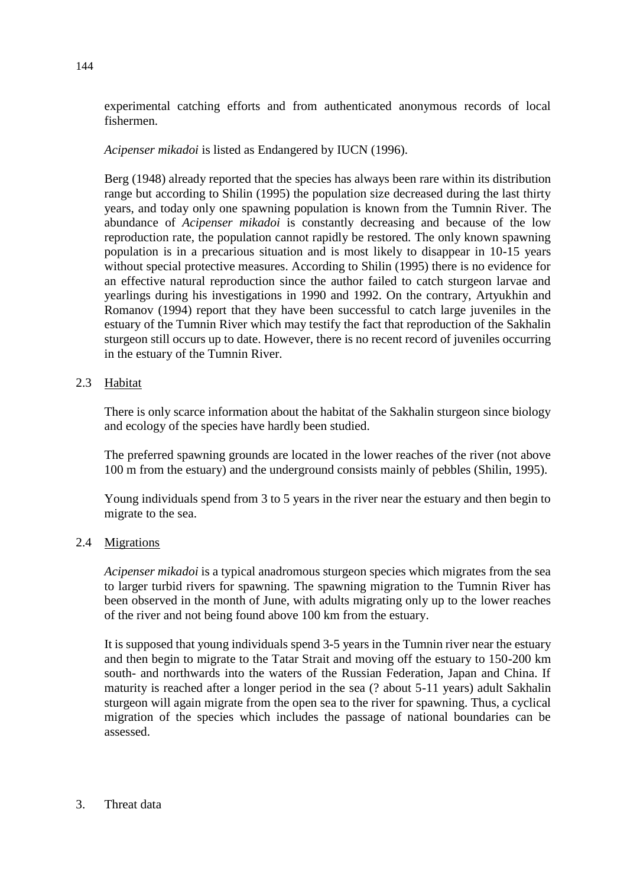experimental catching efforts and from authenticated anonymous records of local fishermen.

## *Acipenser mikadoi* is listed as Endangered by IUCN (1996).

Berg (1948) already reported that the species has always been rare within its distribution range but according to Shilin (1995) the population size decreased during the last thirty years, and today only one spawning population is known from the Tumnin River. The abundance of *Acipenser mikadoi* is constantly decreasing and because of the low reproduction rate, the population cannot rapidly be restored. The only known spawning population is in a precarious situation and is most likely to disappear in 10-15 years without special protective measures. According to Shilin (1995) there is no evidence for an effective natural reproduction since the author failed to catch sturgeon larvae and yearlings during his investigations in 1990 and 1992. On the contrary, Artyukhin and Romanov (1994) report that they have been successful to catch large juveniles in the estuary of the Tumnin River which may testify the fact that reproduction of the Sakhalin sturgeon still occurs up to date. However, there is no recent record of juveniles occurring in the estuary of the Tumnin River.

## 2.3 Habitat

There is only scarce information about the habitat of the Sakhalin sturgeon since biology and ecology of the species have hardly been studied.

The preferred spawning grounds are located in the lower reaches of the river (not above 100 m from the estuary) and the underground consists mainly of pebbles (Shilin, 1995).

Young individuals spend from 3 to 5 years in the river near the estuary and then begin to migrate to the sea.

### 2.4 Migrations

*Acipenser mikadoi* is a typical anadromous sturgeon species which migrates from the sea to larger turbid rivers for spawning. The spawning migration to the Tumnin River has been observed in the month of June, with adults migrating only up to the lower reaches of the river and not being found above 100 km from the estuary.

It is supposed that young individuals spend 3-5 years in the Tumnin river near the estuary and then begin to migrate to the Tatar Strait and moving off the estuary to 150-200 km south- and northwards into the waters of the Russian Federation, Japan and China. If maturity is reached after a longer period in the sea (? about 5-11 years) adult Sakhalin sturgeon will again migrate from the open sea to the river for spawning. Thus, a cyclical migration of the species which includes the passage of national boundaries can be assessed.

#### 3. Threat data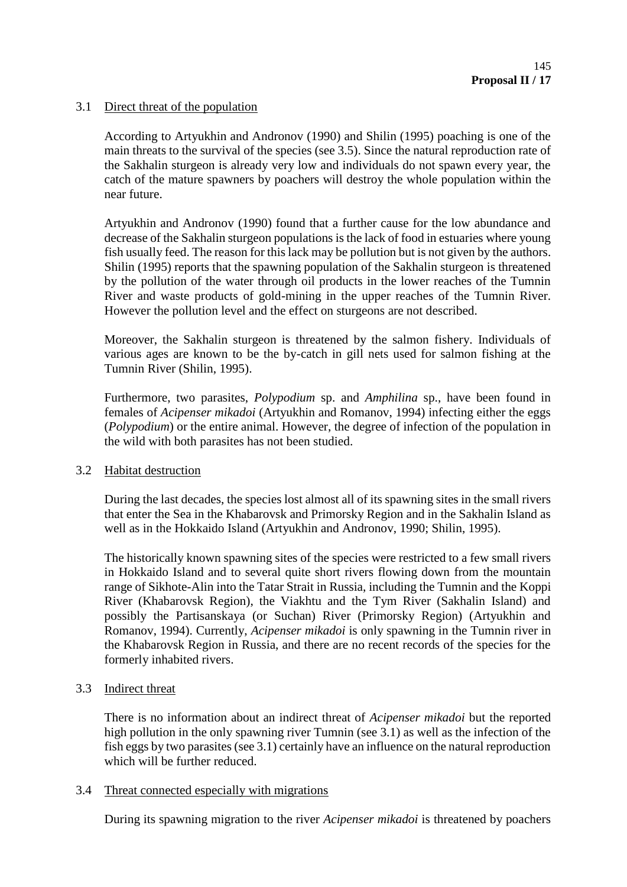### 3.1 Direct threat of the population

According to Artyukhin and Andronov (1990) and Shilin (1995) poaching is one of the main threats to the survival of the species (see 3.5). Since the natural reproduction rate of the Sakhalin sturgeon is already very low and individuals do not spawn every year, the catch of the mature spawners by poachers will destroy the whole population within the near future.

Artyukhin and Andronov (1990) found that a further cause for the low abundance and decrease of the Sakhalin sturgeon populations is the lack of food in estuaries where young fish usually feed. The reason for this lack may be pollution but is not given by the authors. Shilin (1995) reports that the spawning population of the Sakhalin sturgeon is threatened by the pollution of the water through oil products in the lower reaches of the Tumnin River and waste products of gold-mining in the upper reaches of the Tumnin River. However the pollution level and the effect on sturgeons are not described.

Moreover, the Sakhalin sturgeon is threatened by the salmon fishery. Individuals of various ages are known to be the by-catch in gill nets used for salmon fishing at the Tumnin River (Shilin, 1995).

Furthermore, two parasites, *Polypodium* sp. and *Amphilina* sp., have been found in females of *Acipenser mikadoi* (Artyukhin and Romanov, 1994) infecting either the eggs (*Polypodium*) or the entire animal. However, the degree of infection of the population in the wild with both parasites has not been studied.

### 3.2 Habitat destruction

During the last decades, the species lost almost all of its spawning sites in the small rivers that enter the Sea in the Khabarovsk and Primorsky Region and in the Sakhalin Island as well as in the Hokkaido Island (Artyukhin and Andronov, 1990; Shilin, 1995).

The historically known spawning sites of the species were restricted to a few small rivers in Hokkaido Island and to several quite short rivers flowing down from the mountain range of Sikhote-Alin into the Tatar Strait in Russia, including the Tumnin and the Koppi River (Khabarovsk Region), the Viakhtu and the Tym River (Sakhalin Island) and possibly the Partisanskaya (or Suchan) River (Primorsky Region) (Artyukhin and Romanov, 1994). Currently, *Acipenser mikadoi* is only spawning in the Tumnin river in the Khabarovsk Region in Russia, and there are no recent records of the species for the formerly inhabited rivers.

### 3.3 Indirect threat

There is no information about an indirect threat of *Acipenser mikadoi* but the reported high pollution in the only spawning river Tumnin (see 3.1) as well as the infection of the fish eggs by two parasites (see 3.1) certainly have an influence on the natural reproduction which will be further reduced.

### 3.4 Threat connected especially with migrations

During its spawning migration to the river *Acipenser mikadoi* is threatened by poachers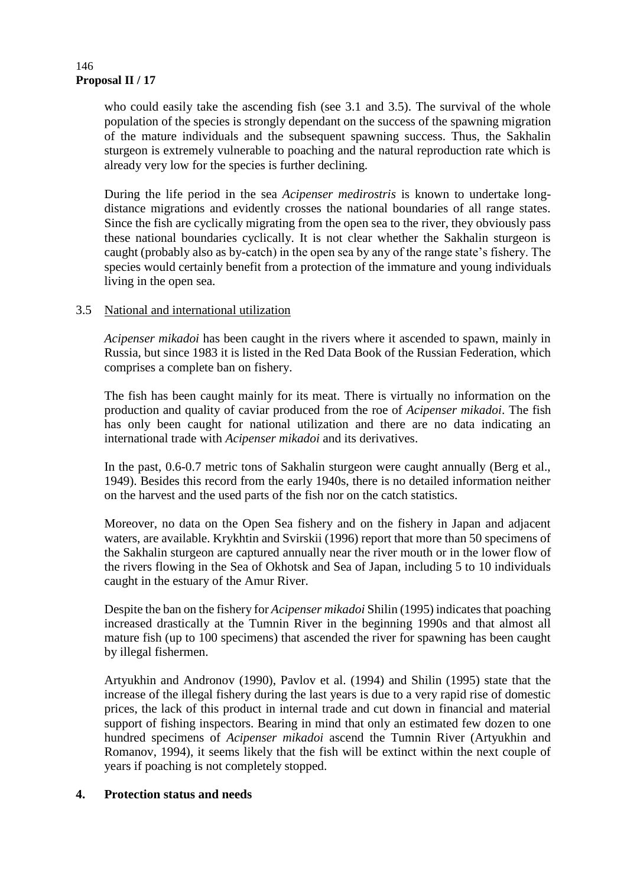#### **Proposal II / 17** 146

who could easily take the ascending fish (see 3.1 and 3.5). The survival of the whole population of the species is strongly dependant on the success of the spawning migration of the mature individuals and the subsequent spawning success. Thus, the Sakhalin sturgeon is extremely vulnerable to poaching and the natural reproduction rate which is already very low for the species is further declining.

During the life period in the sea *Acipenser medirostris* is known to undertake longdistance migrations and evidently crosses the national boundaries of all range states. Since the fish are cyclically migrating from the open sea to the river, they obviously pass these national boundaries cyclically. It is not clear whether the Sakhalin sturgeon is caught (probably also as by-catch) in the open sea by any of the range state's fishery. The species would certainly benefit from a protection of the immature and young individuals living in the open sea.

### 3.5 National and international utilization

*Acipenser mikadoi* has been caught in the rivers where it ascended to spawn, mainly in Russia, but since 1983 it is listed in the Red Data Book of the Russian Federation, which comprises a complete ban on fishery.

The fish has been caught mainly for its meat. There is virtually no information on the production and quality of caviar produced from the roe of *Acipenser mikadoi*. The fish has only been caught for national utilization and there are no data indicating an international trade with *Acipenser mikadoi* and its derivatives.

In the past, 0.6-0.7 metric tons of Sakhalin sturgeon were caught annually (Berg et al., 1949). Besides this record from the early 1940s, there is no detailed information neither on the harvest and the used parts of the fish nor on the catch statistics.

Moreover, no data on the Open Sea fishery and on the fishery in Japan and adjacent waters, are available. Krykhtin and Svirskii (1996) report that more than 50 specimens of the Sakhalin sturgeon are captured annually near the river mouth or in the lower flow of the rivers flowing in the Sea of Okhotsk and Sea of Japan, including 5 to 10 individuals caught in the estuary of the Amur River.

Despite the ban on the fishery for *Acipenser mikadoi* Shilin (1995) indicates that poaching increased drastically at the Tumnin River in the beginning 1990s and that almost all mature fish (up to 100 specimens) that ascended the river for spawning has been caught by illegal fishermen.

Artyukhin and Andronov (1990), Pavlov et al. (1994) and Shilin (1995) state that the increase of the illegal fishery during the last years is due to a very rapid rise of domestic prices, the lack of this product in internal trade and cut down in financial and material support of fishing inspectors. Bearing in mind that only an estimated few dozen to one hundred specimens of *Acipenser mikadoi* ascend the Tumnin River (Artyukhin and Romanov, 1994), it seems likely that the fish will be extinct within the next couple of years if poaching is not completely stopped.

# **4. Protection status and needs**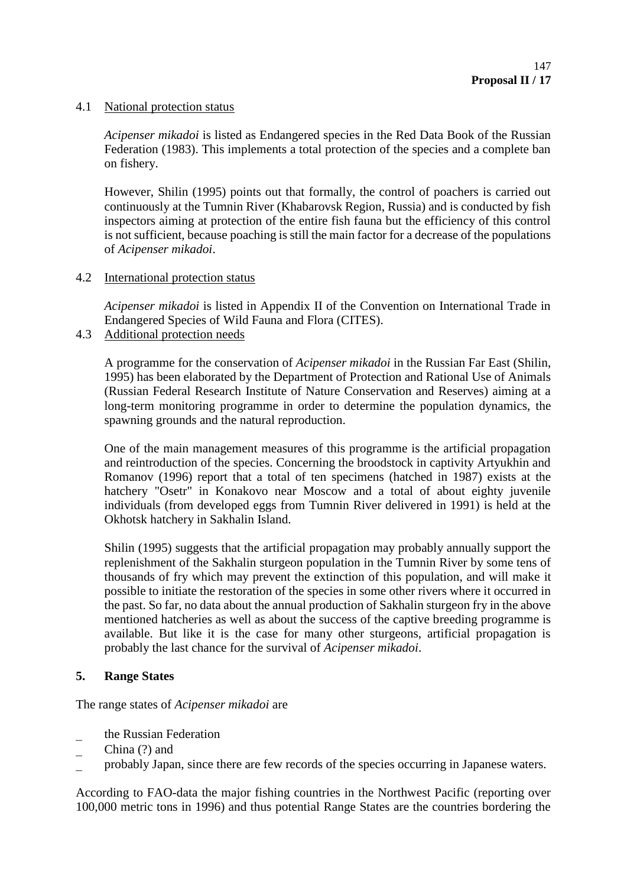### 4.1 National protection status

*Acipenser mikadoi* is listed as Endangered species in the Red Data Book of the Russian Federation (1983). This implements a total protection of the species and a complete ban on fishery.

However, Shilin (1995) points out that formally, the control of poachers is carried out continuously at the Tumnin River (Khabarovsk Region, Russia) and is conducted by fish inspectors aiming at protection of the entire fish fauna but the efficiency of this control is not sufficient, because poaching is still the main factor for a decrease of the populations of *Acipenser mikadoi*.

## 4.2 International protection status

*Acipenser mikadoi* is listed in Appendix II of the Convention on International Trade in Endangered Species of Wild Fauna and Flora (CITES).

4.3 Additional protection needs

A programme for the conservation of *Acipenser mikadoi* in the Russian Far East (Shilin, 1995) has been elaborated by the Department of Protection and Rational Use of Animals (Russian Federal Research Institute of Nature Conservation and Reserves) aiming at a long-term monitoring programme in order to determine the population dynamics, the spawning grounds and the natural reproduction.

One of the main management measures of this programme is the artificial propagation and reintroduction of the species. Concerning the broodstock in captivity Artyukhin and Romanov (1996) report that a total of ten specimens (hatched in 1987) exists at the hatchery "Osetr" in Konakovo near Moscow and a total of about eighty juvenile individuals (from developed eggs from Tumnin River delivered in 1991) is held at the Okhotsk hatchery in Sakhalin Island.

Shilin (1995) suggests that the artificial propagation may probably annually support the replenishment of the Sakhalin sturgeon population in the Tumnin River by some tens of thousands of fry which may prevent the extinction of this population, and will make it possible to initiate the restoration of the species in some other rivers where it occurred in the past. So far, no data about the annual production of Sakhalin sturgeon fry in the above mentioned hatcheries as well as about the success of the captive breeding programme is available. But like it is the case for many other sturgeons, artificial propagation is probably the last chance for the survival of *Acipenser mikadoi*.

# **5. Range States**

The range states of *Acipenser mikadoi* are

the Russian Federation

- China (?) and
- probably Japan, since there are few records of the species occurring in Japanese waters.

According to FAO-data the major fishing countries in the Northwest Pacific (reporting over 100,000 metric tons in 1996) and thus potential Range States are the countries bordering the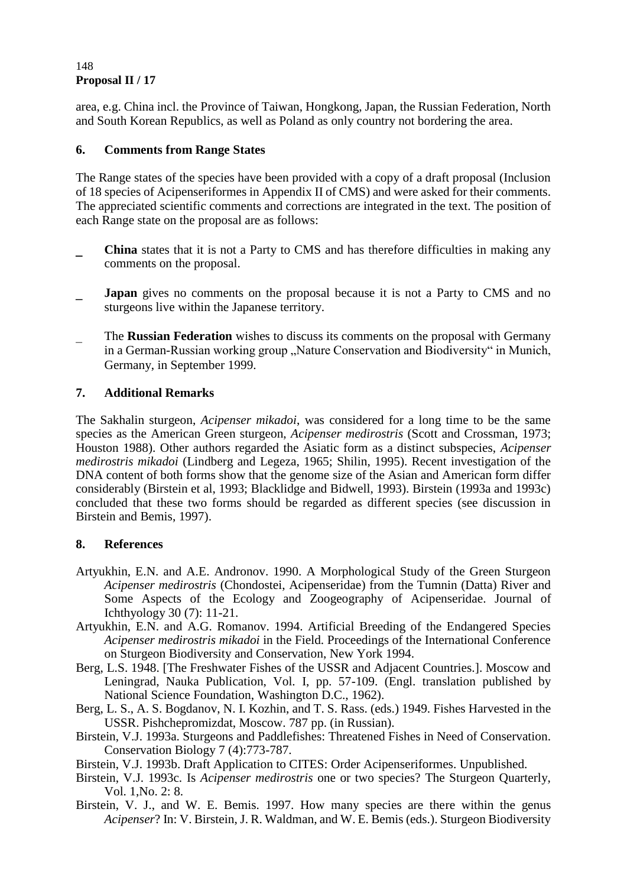#### **Proposal II / 17** 148

area, e.g. China incl. the Province of Taiwan, Hongkong, Japan, the Russian Federation, North and South Korean Republics, as well as Poland as only country not bordering the area.

## **6. Comments from Range States**

The Range states of the species have been provided with a copy of a draft proposal (Inclusion of 18 species of Acipenseriformes in Appendix II of CMS) and were asked for their comments. The appreciated scientific comments and corrections are integrated in the text. The position of each Range state on the proposal are as follows:

- **China** states that it is not a Party to CMS and has therefore difficulties in making any comments on the proposal.
- **Japan** gives no comments on the proposal because it is not a Party to CMS and no sturgeons live within the Japanese territory.
- The **Russian Federation** wishes to discuss its comments on the proposal with Germany in a German-Russian working group "Nature Conservation and Biodiversity" in Munich, Germany, in September 1999.

## **7. Additional Remarks**

The Sakhalin sturgeon, *Acipenser mikadoi*, was considered for a long time to be the same species as the American Green sturgeon, *Acipenser medirostris* (Scott and Crossman, 1973; Houston 1988). Other authors regarded the Asiatic form as a distinct subspecies, *Acipenser medirostris mikadoi* (Lindberg and Legeza, 1965; Shilin, 1995). Recent investigation of the DNA content of both forms show that the genome size of the Asian and American form differ considerably (Birstein et al, 1993; Blacklidge and Bidwell, 1993). Birstein (1993a and 1993c) concluded that these two forms should be regarded as different species (see discussion in Birstein and Bemis, 1997).

# **8. References**

- Artyukhin, E.N. and A.E. Andronov. 1990. A Morphological Study of the Green Sturgeon *Acipenser medirostris* (Chondostei, Acipenseridae) from the Tumnin (Datta) River and Some Aspects of the Ecology and Zoogeography of Acipenseridae. Journal of Ichthyology 30 (7): 11-21.
- Artyukhin, E.N. and A.G. Romanov. 1994. Artificial Breeding of the Endangered Species *Acipenser medirostris mikadoi* in the Field. Proceedings of the International Conference on Sturgeon Biodiversity and Conservation, New York 1994.
- Berg, L.S. 1948. [The Freshwater Fishes of the USSR and Adjacent Countries.]. Moscow and Leningrad, Nauka Publication, Vol. I, pp. 57-109. (Engl. translation published by National Science Foundation, Washington D.C., 1962).
- Berg, L. S., A. S. Bogdanov, N. I. Kozhin, and T. S. Rass. (eds.) 1949. Fishes Harvested in the USSR. Pishchepromizdat, Moscow. 787 pp. (in Russian).
- Birstein, V.J. 1993a. Sturgeons and Paddlefishes: Threatened Fishes in Need of Conservation. Conservation Biology 7 (4):773-787.
- Birstein, V.J. 1993b. Draft Application to CITES: Order Acipenseriformes. Unpublished.
- Birstein, V.J. 1993c. Is *Acipenser medirostris* one or two species? The Sturgeon Quarterly, Vol. 1,No. 2: 8.
- Birstein, V. J., and W. E. Bemis. 1997. How many species are there within the genus *Acipenser*? In: V. Birstein, J. R. Waldman, and W. E. Bemis (eds.). Sturgeon Biodiversity